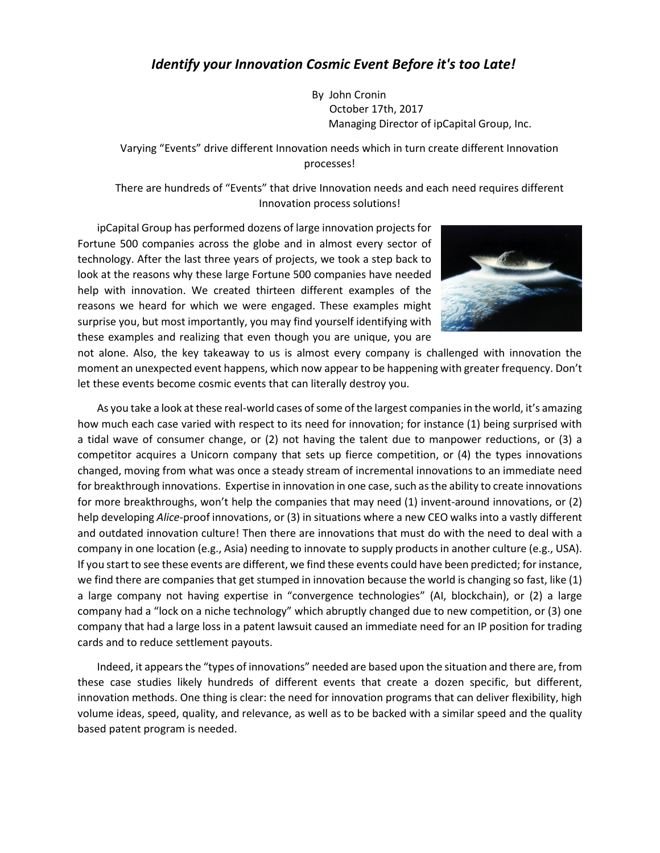By John Cronin October 17th, 2017 Managing Director of ipCapital Group, Inc.

Varying "Events" drive different Innovation needs which in turn create different Innovation processes!

There are hundreds of "Events" that drive Innovation needs and each need requires different Innovation process solutions!

ipCapital Group has performed dozens of large innovation projects for Fortune 500 companies across the globe and in almost every sector of technology. After the last three years of projects, we took a step back to look at the reasons why these large Fortune 500 companies have needed help with innovation. We created thirteen different examples of the reasons we heard for which we were engaged. These examples might surprise you, but most importantly, you may find yourself identifying with these examples and realizing that even though you are unique, you are



not alone. Also, the key takeaway to us is almost every company is challenged with innovation the moment an unexpected event happens, which now appear to be happening with greater frequency. Don't let these events become cosmic events that can literally destroy you.

As you take a look at these real-world cases of some of the largest companies in the world, it's amazing how much each case varied with respect to its need for innovation; for instance (1) being surprised with a tidal wave of consumer change, or (2) not having the talent due to manpower reductions, or (3) a competitor acquires a Unicorn company that sets up fierce competition, or (4) the types innovations changed, moving from what was once a steady stream of incremental innovations to an immediate need for breakthrough innovations. Expertise in innovation in one case, such as the ability to create innovations for more breakthroughs, won't help the companies that may need (1) invent-around innovations, or (2) help developing *Alice*-proof innovations, or (3) in situations where a new CEO walks into a vastly different and outdated innovation culture! Then there are innovations that must do with the need to deal with a company in one location (e.g., Asia) needing to innovate to supply products in another culture (e.g., USA). If you start to see these events are different, we find these events could have been predicted; for instance, we find there are companies that get stumped in innovation because the world is changing so fast, like (1) a large company not having expertise in "convergence technologies" (AI, blockchain), or (2) a large company had a "lock on a niche technology" which abruptly changed due to new competition, or (3) one company that had a large loss in a patent lawsuit caused an immediate need for an IP position for trading cards and to reduce settlement payouts.

Indeed, it appears the "types of innovations" needed are based upon the situation and there are, from these case studies likely hundreds of different events that create a dozen specific, but different, innovation methods. One thing is clear: the need for innovation programs that can deliver flexibility, high volume ideas, speed, quality, and relevance, as well as to be backed with a similar speed and the quality based patent program is needed.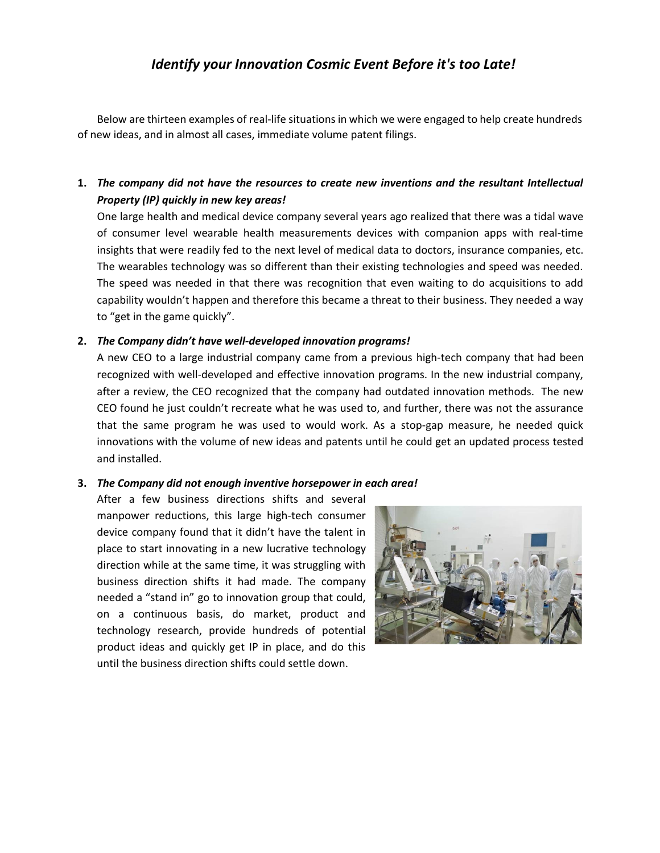Below are thirteen examples of real-life situations in which we were engaged to help create hundreds of new ideas, and in almost all cases, immediate volume patent filings.

**1.** *The company did not have the resources to create new inventions and the resultant Intellectual Property (IP) quickly in new key areas!*

One large health and medical device company several years ago realized that there was a tidal wave of consumer level wearable health measurements devices with companion apps with real-time insights that were readily fed to the next level of medical data to doctors, insurance companies, etc. The wearables technology was so different than their existing technologies and speed was needed. The speed was needed in that there was recognition that even waiting to do acquisitions to add capability wouldn't happen and therefore this became a threat to their business. They needed a way to "get in the game quickly".

### **2.** *The Company didn't have well-developed innovation programs!*

A new CEO to a large industrial company came from a previous high-tech company that had been recognized with well-developed and effective innovation programs. In the new industrial company, after a review, the CEO recognized that the company had outdated innovation methods. The new CEO found he just couldn't recreate what he was used to, and further, there was not the assurance that the same program he was used to would work. As a stop-gap measure, he needed quick innovations with the volume of new ideas and patents until he could get an updated process tested and installed.

### **3.** *The Company did not enough inventive horsepower in each area!*

After a few business directions shifts and several manpower reductions, this large high-tech consumer device company found that it didn't have the talent in place to start innovating in a new lucrative technology direction while at the same time, it was struggling with business direction shifts it had made. The company needed a "stand in" go to innovation group that could, on a continuous basis, do market, product and technology research, provide hundreds of potential product ideas and quickly get IP in place, and do this until the business direction shifts could settle down.

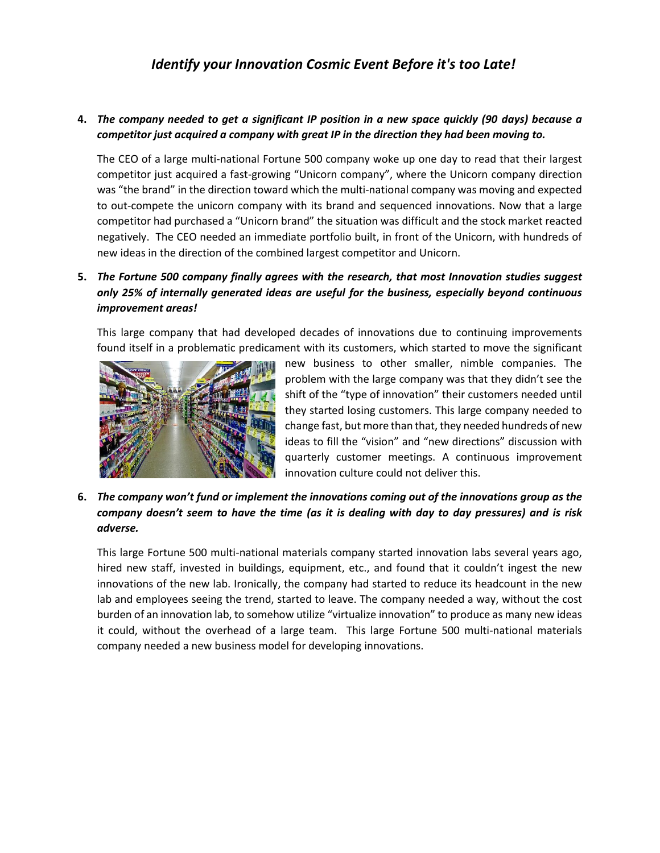### **4.** *The company needed to get a significant IP position in a new space quickly (90 days) because a competitor just acquired a company with great IP in the direction they had been moving to.*

The CEO of a large multi-national Fortune 500 company woke up one day to read that their largest competitor just acquired a fast-growing "Unicorn company", where the Unicorn company direction was "the brand" in the direction toward which the multi-national company was moving and expected to out-compete the unicorn company with its brand and sequenced innovations. Now that a large competitor had purchased a "Unicorn brand" the situation was difficult and the stock market reacted negatively. The CEO needed an immediate portfolio built, in front of the Unicorn, with hundreds of new ideas in the direction of the combined largest competitor and Unicorn.

## **5.** *The Fortune 500 company finally agrees with the research, that most Innovation studies suggest only 25% of internally generated ideas are useful for the business, especially beyond continuous improvement areas!*

This large company that had developed decades of innovations due to continuing improvements found itself in a problematic predicament with its customers, which started to move the significant



new business to other smaller, nimble companies. The problem with the large company was that they didn't see the shift of the "type of innovation" their customers needed until they started losing customers. This large company needed to change fast, but more than that, they needed hundreds of new ideas to fill the "vision" and "new directions" discussion with quarterly customer meetings. A continuous improvement innovation culture could not deliver this.

## **6.** *The company won't fund or implement the innovations coming out of the innovations group as the company doesn't seem to have the time (as it is dealing with day to day pressures) and is risk adverse.*

This large Fortune 500 multi-national materials company started innovation labs several years ago, hired new staff, invested in buildings, equipment, etc., and found that it couldn't ingest the new innovations of the new lab. Ironically, the company had started to reduce its headcount in the new lab and employees seeing the trend, started to leave. The company needed a way, without the cost burden of an innovation lab, to somehow utilize "virtualize innovation" to produce as many new ideas it could, without the overhead of a large team. This large Fortune 500 multi-national materials company needed a new business model for developing innovations.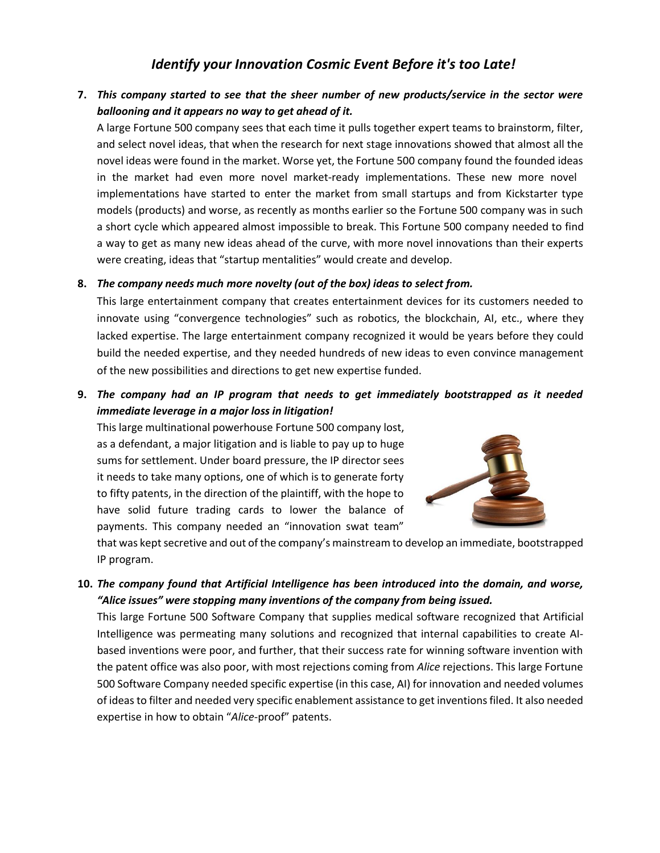## **7.** *This company started to see that the sheer number of new products/service in the sector were ballooning and it appears no way to get ahead of it.*

A large Fortune 500 company sees that each time it pulls together expert teams to brainstorm, filter, and select novel ideas, that when the research for next stage innovations showed that almost all the novel ideas were found in the market. Worse yet, the Fortune 500 company found the founded ideas in the market had even more novel market-ready implementations. These new more novel implementations have started to enter the market from small startups and from Kickstarter type models (products) and worse, as recently as months earlier so the Fortune 500 company was in such a short cycle which appeared almost impossible to break. This Fortune 500 company needed to find a way to get as many new ideas ahead of the curve, with more novel innovations than their experts were creating, ideas that "startup mentalities" would create and develop.

### **8.** *The company needs much more novelty (out of the box) ideas to select from.*

This large entertainment company that creates entertainment devices for its customers needed to innovate using "convergence technologies" such as robotics, the blockchain, AI, etc., where they lacked expertise. The large entertainment company recognized it would be years before they could build the needed expertise, and they needed hundreds of new ideas to even convince management of the new possibilities and directions to get new expertise funded.

## **9.** *The company had an IP program that needs to get immediately bootstrapped as it needed immediate leverage in a major loss in litigation!*

This large multinational powerhouse Fortune 500 company lost, as a defendant, a major litigation and is liable to pay up to huge sums for settlement. Under board pressure, the IP director sees it needs to take many options, one of which is to generate forty to fifty patents, in the direction of the plaintiff, with the hope to have solid future trading cards to lower the balance of payments. This company needed an "innovation swat team"



that was kept secretive and out of the company's mainstream to develop an immediate, bootstrapped IP program.

**10.** *The company found that Artificial Intelligence has been introduced into the domain, and worse, "Alice issues" were stopping many inventions of the company from being issued.*

This large Fortune 500 Software Company that supplies medical software recognized that Artificial Intelligence was permeating many solutions and recognized that internal capabilities to create AIbased inventions were poor, and further, that their success rate for winning software invention with the patent office was also poor, with most rejections coming from *Alice* rejections. This large Fortune 500 Software Company needed specific expertise (in this case, AI) for innovation and needed volumes of ideas to filter and needed very specific enablement assistance to get inventions filed. It also needed expertise in how to obtain "*Alice*-proof" patents.